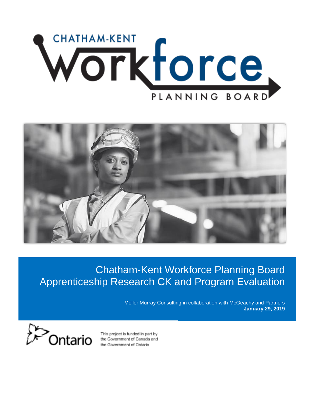## **CHATHAM-KENT** Workforce, PLANNING BOARD



Chatham-Kent Workforce Planning Board Apprenticeship Research CK and Program Evaluation

> Mellor Murray Consulting in collaboration with McGeachy and Partners **January 29, 2019**



This project is funded in part by the Government of Canada and the Government of Ontario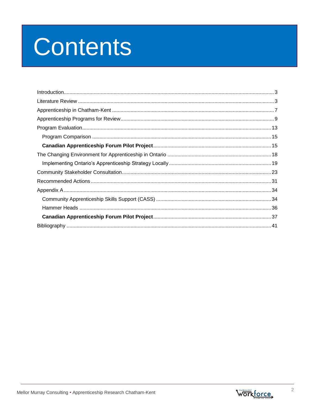# Contents

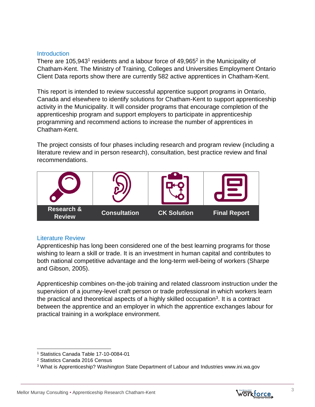#### <span id="page-2-0"></span>**Introduction**

There are 105,943<sup>1</sup> residents and a labour force of 49,965<sup>2</sup> in the Municipality of Chatham-Kent. The Ministry of Training, Colleges and Universities Employment Ontario Client Data reports show there are currently 582 active apprentices in Chatham-Kent.

This report is intended to review successful apprentice support programs in Ontario, Canada and elsewhere to identify solutions for Chatham-Kent to support apprenticeship activity in the Municipality. It will consider programs that encourage completion of the apprenticeship program and support employers to participate in apprenticeship programming and recommend actions to increase the number of apprentices in Chatham-Kent.

The project consists of four phases including research and program review (including a literature review and in person research), consultation, best practice review and final recommendations.



#### <span id="page-2-1"></span>Literature Review

Apprenticeship has long been considered one of the best learning programs for those wishing to learn a skill or trade. It is an investment in human capital and contributes to both national competitive advantage and the long-term well-being of workers (Sharpe and Gibson, 2005).

Apprenticeship combines on-the-job training and related classroom instruction under the supervision of a journey-level craft person or trade professional in which workers learn the practical and theoretical aspects of a highly skilled occupation<sup>3</sup>. It is a contract between the apprentice and an employer in which the apprentice exchanges labour for practical training in a workplace environment.



l <sup>1</sup> Statistics Canada Table 17-10-0084-01

<sup>2</sup> Statistics Canada 2016 Census

<sup>3</sup> What is Apprenticeship? Washington State Department of Labour and Industries www.ini.wa.gov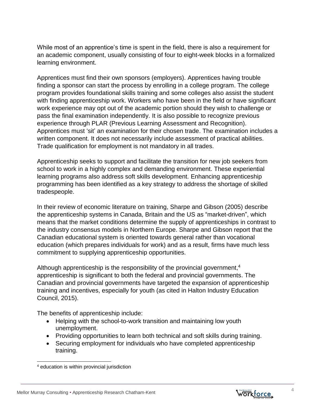While most of an apprentice's time is spent in the field, there is also a requirement for an academic component, usually consisting of four to eight-week blocks in a formalized learning environment.

Apprentices must find their own sponsors (employers). Apprentices having trouble finding a sponsor can start the process by enrolling in a college program. The college program provides foundational skills training and some colleges also assist the student with finding apprenticeship work. Workers who have been in the field or have significant work experience may opt out of the academic portion should they wish to challenge or pass the final examination independently. It is also possible to recognize previous experience through PLAR (Previous Learning Assessment and Recognition). Apprentices must 'sit' an examination for their chosen trade. The examination includes a written component. It does not necessarily include assessment of practical abilities. Trade qualification for employment is not mandatory in all trades.

Apprenticeship seeks to support and facilitate the transition for new job seekers from school to work in a highly complex and demanding environment. These experiential learning programs also address soft skills development. Enhancing apprenticeship programming has been identified as a key strategy to address the shortage of skilled tradespeople.

In their review of economic literature on training, Sharpe and Gibson (2005) describe the apprenticeship systems in Canada, Britain and the US as "market-driven", which means that the market conditions determine the supply of apprenticeships in contrast to the industry consensus models in Northern Europe. Sharpe and Gibson report that the Canadian educational system is oriented towards general rather than vocational education (which prepares individuals for work) and as a result, firms have much less commitment to supplying apprenticeship opportunities.

Although apprenticeship is the responsibility of the provincial government,<sup>4</sup> apprenticeship is significant to both the federal and provincial governments. The Canadian and provincial governments have targeted the expansion of apprenticeship training and incentives, especially for youth (as cited in Halton Industry Education Council, 2015).

The benefits of apprenticeship include:

- Helping with the school-to-work transition and maintaining low youth unemployment.
- Providing opportunities to learn both technical and soft skills during training.
- Securing employment for individuals who have completed apprenticeship training.



l <sup>4</sup> education is within provincial jurisdiction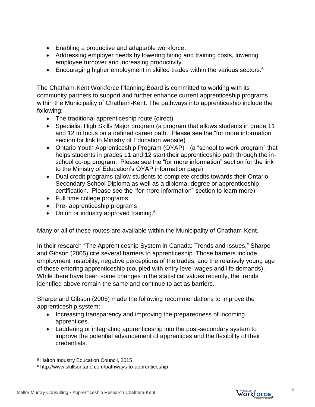- Enabling a productive and adaptable workforce.
- Addressing employer needs by lowering hiring and training costs, lowering employee turnover and increasing productivity.
- Encouraging higher employment in skilled trades within the various sectors.<sup>5</sup>

The Chatham-Kent Workforce Planning Board is committed to working with its community partners to support and further enhance current apprenticeship programs within the Municipality of Chatham-Kent. The pathways into apprenticeship include the following:

- The traditional apprenticeship route (direct)
- Specialist High Skills Major program (a program that allows students in grade 11 and 12 to focus on a defined career path. Please see the "for more information" section for link to Ministry of Education website)
- Ontario Youth Apprenticeship Program (OYAP) (a "school to work program" that helps students in grades 11 and 12 start their apprenticeship path through the inschool co-op program. Please see the "for more information" section for the link to the Ministry of Education's OYAP information page)
- Dual credit programs (allow students to complete credits towards their Ontario Secondary School Diploma as well as a diploma, degree or apprenticeship certification. Please see the "for more information" section to learn more)
- Full time college programs
- Pre- apprenticeship programs
- Union or industry approved training.<sup>6</sup>

Many or all of these routes are available within the Municipality of Chatham-Kent.

In their research "The Apprenticeship System in Canada: Trends and Issues," Sharpe and Gibson (2005) cite several barriers to apprenticeship. Those barriers include employment instability, negative perceptions of the trades, and the relatively young age of those entering apprenticeship (coupled with entry level wages and life demands). While there have been some changes in the statistical values recently, the trends identified above remain the same and continue to act as barriers.

Sharpe and Gibson (2005) made the following recommendations to improve the apprenticeship system:

- Increasing transparency and improving the preparedness of incoming apprentices.
- Laddering or integrating apprenticeship into the post-secondary system to improve the potential advancement of apprentices and the flexibility of their credentials.



<sup>5</sup> Halton Industry Education Council, 2015

<sup>6</sup> http://www.skillsontario.com/pathways-to-apprenticeship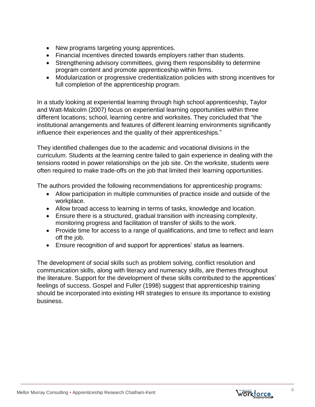- New programs targeting young apprentices.
- Financial incentives directed towards employers rather than students.
- Strengthening advisory committees, giving them responsibility to determine program content and promote apprenticeship within firms.
- Modularization or progressive credentialization policies with strong incentives for full completion of the apprenticeship program.

In a study looking at experiential learning through high school apprenticeship, Taylor and Watt-Malcolm (2007) focus on experiential learning opportunities within three different locations; school, learning centre and worksites. They concluded that "the institutional arrangements and features of different learning environments significantly influence their experiences and the quality of their apprenticeships."

They identified challenges due to the academic and vocational divisions in the curriculum. Students at the learning centre failed to gain experience in dealing with the tensions rooted in power relationships on the job site. On the worksite, students were often required to make trade-offs on the job that limited their learning opportunities.

The authors provided the following recommendations for apprenticeship programs:

- Allow participation in multiple communities of practice inside and outside of the workplace.
- Allow broad access to learning in terms of tasks, knowledge and location.
- Ensure there is a structured, gradual transition with increasing complexity, monitoring progress and facilitation of transfer of skills to the work.
- Provide time for access to a range of qualifications, and time to reflect and learn off the job.
- Ensure recognition of and support for apprentices' status as learners.

The development of social skills such as problem solving, conflict resolution and communication skills, along with literacy and numeracy skills, are themes throughout the literature. Support for the development of these skills contributed to the apprentices' feelings of success. Gospel and Fuller (1998) suggest that apprenticeship training should be incorporated into existing HR strategies to ensure its importance to existing business.

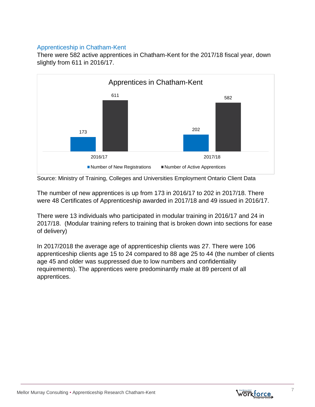#### <span id="page-6-0"></span>Apprenticeship in Chatham-Kent

There were 582 active apprentices in Chatham-Kent for the 2017/18 fiscal year, down slightly from 611 in 2016/17.



Source: Ministry of Training, Colleges and Universities Employment Ontario Client Data

The number of new apprentices is up from 173 in 2016/17 to 202 in 2017/18. There were 48 Certificates of Apprenticeship awarded in 2017/18 and 49 issued in 2016/17.

There were 13 individuals who participated in modular training in 2016/17 and 24 in 2017/18. (Modular training refers to training that is broken down into sections for ease of delivery)

In 2017/2018 the average age of apprenticeship clients was 27. There were 106 apprenticeship clients age 15 to 24 compared to 88 age 25 to 44 (the number of clients age 45 and older was suppressed due to low numbers and confidentiality requirements). The apprentices were predominantly male at 89 percent of all apprentices.

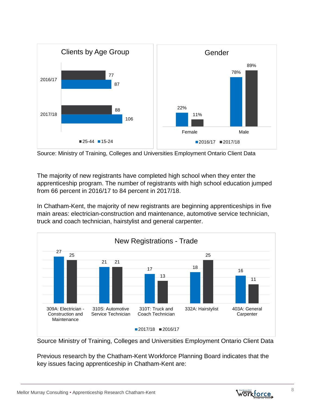

Source: Ministry of Training, Colleges and Universities Employment Ontario Client Data

The majority of new registrants have completed high school when they enter the apprenticeship program. The number of registrants with high school education jumped from 66 percent in 2016/17 to 84 percent in 2017/18.

In Chatham-Kent, the majority of new registrants are beginning apprenticeships in five main areas: electrician-construction and maintenance, automotive service technician, truck and coach technician, hairstylist and general carpenter.





Previous research by the Chatham-Kent Workforce Planning Board indicates that the key issues facing apprenticeship in Chatham-Kent are:

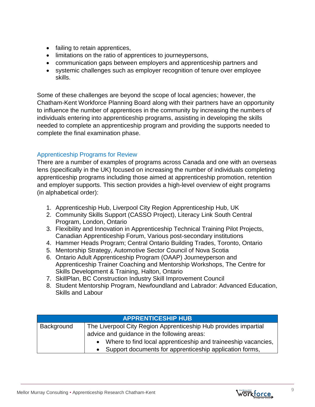- failing to retain apprentices,
- limitations on the ratio of apprentices to journeypersons,
- communication gaps between employers and apprenticeship partners and
- systemic challenges such as employer recognition of tenure over employee skills.

Some of these challenges are beyond the scope of local agencies; however, the Chatham-Kent Workforce Planning Board along with their partners have an opportunity to influence the number of apprentices in the community by increasing the numbers of individuals entering into apprenticeship programs, assisting in developing the skills needed to complete an apprenticeship program and providing the supports needed to complete the final examination phase.

#### <span id="page-8-0"></span>Apprenticeship Programs for Review

There are a number of examples of programs across Canada and one with an overseas lens (specifically in the UK) focused on increasing the number of individuals completing apprenticeship programs including those aimed at apprenticeship promotion, retention and employer supports. This section provides a high-level overview of eight programs (in alphabetical order):

- 1. Apprenticeship Hub, Liverpool City Region Apprenticeship Hub, UK
- 2. Community Skills Support (CASSO Project), Literacy Link South Central Program, London, Ontario
- 3. Flexibility and Innovation in Apprenticeship Technical Training Pilot Projects, Canadian Apprenticeship Forum, Various post-secondary institutions
- 4. Hammer Heads Program; Central Ontario Building Trades, Toronto, Ontario
- 5. Mentorship Strategy, Automotive Sector Council of Nova Scotia
- 6. Ontario Adult Apprenticeship Program (OAAP) Journeyperson and Apprenticeship Trainer Coaching and Mentorship Workshops, The Centre for Skills Development & Training, Halton, Ontario
- 7. SkillPlan, BC Construction Industry Skill Improvement Council
- 8. Student Mentorship Program, Newfoundland and Labrador: Advanced Education, Skills and Labour

| <b>APPRENTICESHIP HUB</b> |                                                                 |
|---------------------------|-----------------------------------------------------------------|
| Background                | The Liverpool City Region Apprenticeship Hub provides impartial |
|                           | advice and guidance in the following areas:                     |
|                           | Where to find local apprenticeship and traineeship vacancies,   |
|                           | • Support documents for apprenticeship application forms,       |

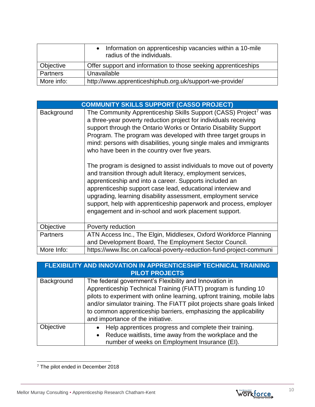|                 | Information on apprenticeship vacancies within a 10-mile<br>radius of the individuals. |
|-----------------|----------------------------------------------------------------------------------------|
| Objective       | Offer support and information to those seeking apprenticeships                         |
| <b>Partners</b> | Unavailable                                                                            |
| More info:      | http://www.apprenticeshiphub.org.uk/support-we-provide/                                |

| <b>COMMUNITY SKILLS SUPPORT (CASSO PROJECT)</b> |                                                                                                                                                                                                                                                                                                                                                                                                                                                                                                                                                                                                                                                                                                                                                                                                                                                                           |  |
|-------------------------------------------------|---------------------------------------------------------------------------------------------------------------------------------------------------------------------------------------------------------------------------------------------------------------------------------------------------------------------------------------------------------------------------------------------------------------------------------------------------------------------------------------------------------------------------------------------------------------------------------------------------------------------------------------------------------------------------------------------------------------------------------------------------------------------------------------------------------------------------------------------------------------------------|--|
| Background                                      | The Community Apprenticeship Skills Support (CASS) Project <sup>7</sup> was<br>a three-year poverty reduction project for individuals receiving<br>support through the Ontario Works or Ontario Disability Support<br>Program. The program was developed with three target groups in<br>mind: persons with disabilities, young single males and immigrants<br>who have been in the country over five years.<br>The program is designed to assist individuals to move out of poverty<br>and transition through adult literacy, employment services,<br>apprenticeship and into a career. Supports included an<br>apprenticeship support case lead, educational interview and<br>upgrading, learning disability assessment, employment service<br>support, help with apprenticeship paperwork and process, employer<br>engagement and in-school and work placement support. |  |
| Objective                                       | Poverty reduction                                                                                                                                                                                                                                                                                                                                                                                                                                                                                                                                                                                                                                                                                                                                                                                                                                                         |  |
| <b>Partners</b>                                 | ATN Access Inc., The Elgin, Middlesex, Oxford Workforce Planning                                                                                                                                                                                                                                                                                                                                                                                                                                                                                                                                                                                                                                                                                                                                                                                                          |  |
|                                                 | and Development Board, The Employment Sector Council.                                                                                                                                                                                                                                                                                                                                                                                                                                                                                                                                                                                                                                                                                                                                                                                                                     |  |
| More Info:                                      | https://www.llsc.on.ca/local-poverty-reduction-fund-project-communi                                                                                                                                                                                                                                                                                                                                                                                                                                                                                                                                                                                                                                                                                                                                                                                                       |  |

| FLEXIBILITY AND INNOVATION IN APPRENTICESHIP TECHNICAL TRAINING<br><b>PILOT PROJECTS</b> |                                                                                                                                                                                                                                                                                                                                                                                          |
|------------------------------------------------------------------------------------------|------------------------------------------------------------------------------------------------------------------------------------------------------------------------------------------------------------------------------------------------------------------------------------------------------------------------------------------------------------------------------------------|
| Background                                                                               | The federal government's Flexibility and Innovation in<br>Apprenticeship Technical Training (FIATT) program is funding 10<br>pilots to experiment with online learning, upfront training, mobile labs<br>and/or simulator training. The FIATT pilot projects share goals linked<br>to common apprenticeship barriers, emphasizing the applicability<br>and importance of the initiative. |
| viective                                                                                 | Help apprentices progress and complete their training.<br>• Reduce waitlists, time away from the workplace and the<br>number of weeks on Employment Insurance (EI).                                                                                                                                                                                                                      |

<sup>&</sup>lt;sup>7</sup> The pilot ended in December 2018

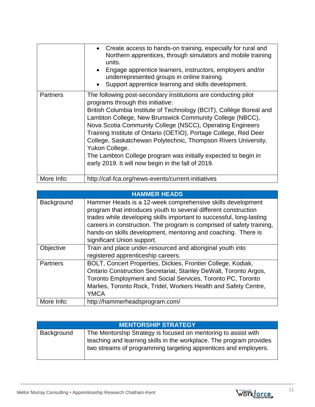|                 | Create access to hands-on training, especially for rural and<br>Northern apprentices, through simulators and mobile training<br>units.<br>• Engage apprentice learners, instructors, employers and/or<br>underrepresented groups in online training.                                                                                                                                                                                                                                                                          |
|-----------------|-------------------------------------------------------------------------------------------------------------------------------------------------------------------------------------------------------------------------------------------------------------------------------------------------------------------------------------------------------------------------------------------------------------------------------------------------------------------------------------------------------------------------------|
|                 | Support apprentice learning and skills development.                                                                                                                                                                                                                                                                                                                                                                                                                                                                           |
| <b>Partners</b> | The following post-secondary institutions are conducting pilot<br>programs through this initiative:<br>British Columbia Institute of Technology (BCIT), Collège Boreal and<br>Lambton College, New Brunswick Community College (NBCC),<br>Nova Scotia Community College (NSCC), Operating Engineers<br>Training Institute of Ontario (OETIO), Portage College, Red Deer<br>College, Saskatchewan Polytechnic, Thompson Rivers University,<br>Yukon College.<br>The Lambton College program was initially expected to begin in |
|                 | early 2019. It will now begin in the fall of 2019.                                                                                                                                                                                                                                                                                                                                                                                                                                                                            |
| More Info:      | http://caf-fca.org/news-events/current-initiatives                                                                                                                                                                                                                                                                                                                                                                                                                                                                            |

| <b>HAMMER HEADS</b> |                                                                                                                                                                                                                                                                                                                                                                               |
|---------------------|-------------------------------------------------------------------------------------------------------------------------------------------------------------------------------------------------------------------------------------------------------------------------------------------------------------------------------------------------------------------------------|
| Background          | Hammer Heads is a 12-week comprehensive skills development<br>program that introduces youth to several different construction<br>trades while developing skills important to successful, long-lasting<br>careers in construction. The program is comprised of safety training,<br>hands-on skills development, mentoring and coaching. There is<br>significant Union support. |
| Objective           | Train and place under-resourced and aboriginal youth into<br>registered apprenticeship careers.                                                                                                                                                                                                                                                                               |
| <b>Partners</b>     | BOLT, Concert Properties, Dickies, Frontier College, Kodiak,<br>Ontario Construction Secretariat, Stanley DeWalt, Toronto Argos,<br>Toronto Employment and Social Services, Toronto PC, Toronto<br>Marlies, Toronto Rock, Tridel, Workers Health and Safety Centre,<br><b>YMCA</b>                                                                                            |
| More Info:          | http://hammerheadsprogram.com/                                                                                                                                                                                                                                                                                                                                                |

| <b>MENTORSHIP STRATEGY</b> |                                                                                                                                                                                                          |
|----------------------------|----------------------------------------------------------------------------------------------------------------------------------------------------------------------------------------------------------|
| Background                 | The Mentorship Strategy is focused on mentoring to assist with<br>teaching and learning skills in the workplace. The program provides<br>two streams of programming targeting apprentices and employers. |



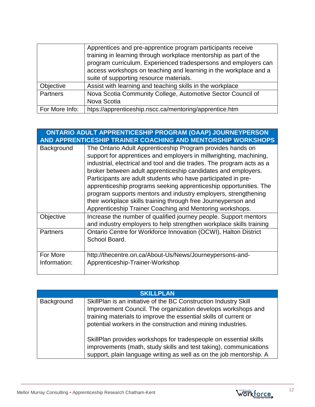|                | Apprentices and pre-apprentice program participants receive<br>training in learning through workplace mentorship as part of the<br>program curriculum. Experienced tradespersons and employers can<br>access workshops on teaching and learning in the workplace and a<br>suite of supporting resource materials. |
|----------------|-------------------------------------------------------------------------------------------------------------------------------------------------------------------------------------------------------------------------------------------------------------------------------------------------------------------|
| Objective      | Assist with learning and teaching skills in the workplace                                                                                                                                                                                                                                                         |
| Partners       | Nova Scotia Community College, Automotive Sector Council of                                                                                                                                                                                                                                                       |
|                | Nova Scotia                                                                                                                                                                                                                                                                                                       |
| For More Info: | htps://apprenticeship.nscc.ca/mentoring/apprentice.htm                                                                                                                                                                                                                                                            |

| <b>ONTARIO ADULT APPRENTICESHIP PROGRAM (OAAP) JOURNEYPERSON</b><br>AND APPRENTICESHIP TRAINER COACHING AND MENTORSHIP WORKSHOPS |                                                                                                                                                                                                                                                                                                                                                                                                                                                                                                                                                                                                                  |  |
|----------------------------------------------------------------------------------------------------------------------------------|------------------------------------------------------------------------------------------------------------------------------------------------------------------------------------------------------------------------------------------------------------------------------------------------------------------------------------------------------------------------------------------------------------------------------------------------------------------------------------------------------------------------------------------------------------------------------------------------------------------|--|
| Background                                                                                                                       | The Ontario Adult Apprenticeship Program provides hands on<br>support for apprentices and employers in millwrighting, machining,<br>industrial, electrical and tool and die trades. The program acts as a<br>broker between adult apprenticeship candidates and employers.<br>Participants are adult students who have participated in pre-<br>apprenticeship programs seeking apprenticeship opportunities. The<br>program supports mentors and industry employers, strengthening<br>their workplace skills training through free Journeyperson and<br>Apprenticeship Trainer Coaching and Mentoring workshops. |  |
| Objective                                                                                                                        | Increase the number of qualified journey people. Support mentors<br>and industry employers to help strengthen workplace skills training                                                                                                                                                                                                                                                                                                                                                                                                                                                                          |  |
| <b>Partners</b>                                                                                                                  | Ontario Centre for Workforce Innovation (OCWI), Halton District<br>School Board.                                                                                                                                                                                                                                                                                                                                                                                                                                                                                                                                 |  |
| For More<br>Information:                                                                                                         | http://thecentre.on.ca/About-Us/News/Journeypersons-and-<br>Apprenticeship-Trainer-Workshop                                                                                                                                                                                                                                                                                                                                                                                                                                                                                                                      |  |

| <b>SKILLPLAN</b> |                                                                                                                                                                                                                                                                      |
|------------------|----------------------------------------------------------------------------------------------------------------------------------------------------------------------------------------------------------------------------------------------------------------------|
| Background       | SkillPlan is an initiative of the BC Construction Industry Skill<br>Improvement Council. The organization develops workshops and<br>training materials to improve the essential skills of current or<br>potential workers in the construction and mining industries. |
|                  | SkillPlan provides workshops for tradespeople on essential skills<br>improvements (math, study skills and test taking), communications<br>support, plain language writing as well as on the job mentorship. A                                                        |

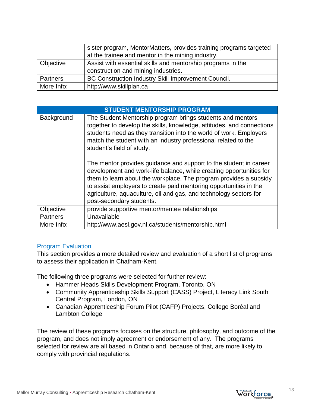|            | sister program, MentorMatters, provides training programs targeted |
|------------|--------------------------------------------------------------------|
|            | at the trainee and mentor in the mining industry.                  |
| Objective  | Assist with essential skills and mentorship programs in the        |
|            | construction and mining industries.                                |
| Partners   | BC Construction Industry Skill Improvement Council.                |
| More Info: | http://www.skillplan.ca                                            |

|                 | <b>STUDENT MENTORSHIP PROGRAM</b>                                                                                                                                                                                                                                                                                                                                                   |
|-----------------|-------------------------------------------------------------------------------------------------------------------------------------------------------------------------------------------------------------------------------------------------------------------------------------------------------------------------------------------------------------------------------------|
| Background      | The Student Mentorship program brings students and mentors<br>together to develop the skills, knowledge, attitudes, and connections<br>students need as they transition into the world of work. Employers<br>match the student with an industry professional related to the<br>student's field of study.                                                                            |
|                 | The mentor provides guidance and support to the student in career<br>development and work-life balance, while creating opportunities for<br>them to learn about the workplace. The program provides a subsidy<br>to assist employers to create paid mentoring opportunities in the<br>agriculture, aquaculture, oil and gas, and technology sectors for<br>post-secondary students. |
| Objective       | provide supportive mentor/mentee relationships                                                                                                                                                                                                                                                                                                                                      |
| <b>Partners</b> | Unavailable                                                                                                                                                                                                                                                                                                                                                                         |
| More Info:      | http://www.aesl.gov.nl.ca/students/mentorship.html                                                                                                                                                                                                                                                                                                                                  |

#### <span id="page-12-0"></span>Program Evaluation

This section provides a more detailed review and evaluation of a short list of programs to assess their application in Chatham-Kent.

The following three programs were selected for further review:

- Hammer Heads Skills Development Program, Toronto, ON
- Community Apprenticeship Skills Support (CASS) Project, Literacy Link South Central Program, London, ON
- Canadian Apprenticeship Forum Pilot (CAFP) Projects, College Boréal and Lambton College

The review of these programs focuses on the structure, philosophy, and outcome of the program, and does not imply agreement or endorsement of any. The programs selected for review are all based in Ontario and, because of that, are more likely to comply with provincial regulations.

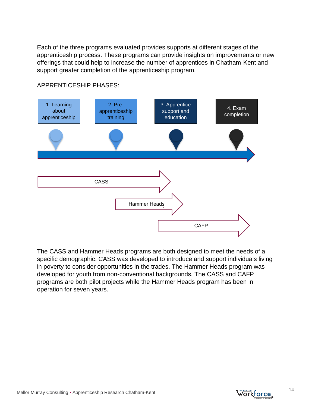Each of the three programs evaluated provides supports at different stages of the apprenticeship process. These programs can provide insights on improvements or new offerings that could help to increase the number of apprentices in Chatham-Kent and support greater completion of the apprenticeship program.



APPRENTICESHIP PHASES:

The CASS and Hammer Heads programs are both designed to meet the needs of a specific demographic. CASS was developed to introduce and support individuals living in poverty to consider opportunities in the trades. The Hammer Heads program was developed for youth from non-conventional backgrounds. The CASS and CAFP programs are both pilot projects while the Hammer Heads program has been in operation for seven years.

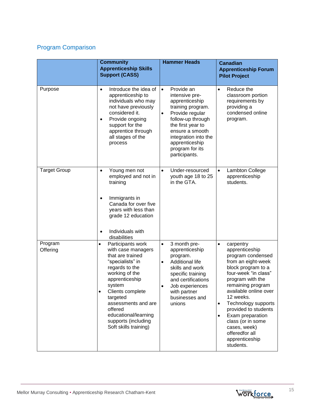### <span id="page-14-0"></span>Program Comparison

<span id="page-14-1"></span>

|                     | <b>Community</b><br><b>Apprenticeship Skills</b><br><b>Support (CASS)</b>                                                                                                                                                                                                                                           | <b>Hammer Heads</b>                                                                                                                                                                                                                                         | <b>Canadian</b><br><b>Apprenticeship Forum</b><br><b>Pilot Project</b>                                                                                                                                                                                                                                                                                                                              |
|---------------------|---------------------------------------------------------------------------------------------------------------------------------------------------------------------------------------------------------------------------------------------------------------------------------------------------------------------|-------------------------------------------------------------------------------------------------------------------------------------------------------------------------------------------------------------------------------------------------------------|-----------------------------------------------------------------------------------------------------------------------------------------------------------------------------------------------------------------------------------------------------------------------------------------------------------------------------------------------------------------------------------------------------|
| Purpose             | Introduce the idea of<br>$\bullet$<br>apprenticeship to<br>individuals who may<br>not have previously<br>considered it.<br>Provide ongoing<br>$\bullet$<br>support for the<br>apprentice through<br>all stages of the<br>process                                                                                    | $\bullet$<br>Provide an<br>intensive pre-<br>apprenticeship<br>training program.<br>Provide regular<br>$\bullet$<br>follow-up through<br>the first year to<br>ensure a smooth<br>integration into the<br>apprenticeship<br>program for its<br>participants. | Reduce the<br>$\bullet$<br>classroom portion<br>requirements by<br>providing a<br>condensed online<br>program.                                                                                                                                                                                                                                                                                      |
| <b>Target Group</b> | Young men not<br>$\bullet$<br>employed and not in<br>training<br>Immigrants in<br>$\bullet$<br>Canada for over five<br>years with less than<br>grade 12 education<br>Individuals with<br>$\bullet$<br>disabilities                                                                                                  | $\bullet$<br>Under-resourced<br>youth age 18 to 25<br>in the GTA.                                                                                                                                                                                           | Lambton College<br>$\bullet$<br>apprenticeship<br>students.                                                                                                                                                                                                                                                                                                                                         |
| Program<br>Offering | Participants work<br>$\bullet$<br>with case managers<br>that are trained<br>"specialists" in<br>regards to the<br>working of the<br>apprenticeship<br>system<br>Clients complete<br>$\bullet$<br>targeted<br>assessments and are<br>offered<br>educational/learning<br>supports (including<br>Soft skills training) | 3 month pre-<br>$\bullet$<br>apprenticeship<br>program.<br><b>Additional life</b><br>$\bullet$<br>skills and work<br>specific training<br>and certifications<br>Job experiences<br>٠<br>with partner<br>businesses and<br>unions                            | carpentry<br>$\bullet$<br>apprenticeship<br>program condensed<br>from an eight-week<br>block program to a<br>four-week "in class"<br>program with the<br>remaining program<br>available online over<br>12 weeks.<br>Technology supports<br>$\bullet$<br>provided to students<br>Exam preparation<br>$\bullet$<br>class (or in some<br>cases, week)<br>offeredfor all<br>apprenticeship<br>students. |

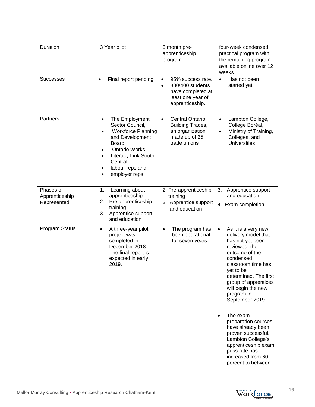| Duration                                   | 3 Year pilot                                                                                                                                                                                                                                                              | 3 month pre-<br>apprenticeship<br>program                                                                                    | four-week condensed<br>practical program with<br>the remaining program<br>available online over 12<br>weeks.                                                                                                                                                                                                                                                                                                                                                              |
|--------------------------------------------|---------------------------------------------------------------------------------------------------------------------------------------------------------------------------------------------------------------------------------------------------------------------------|------------------------------------------------------------------------------------------------------------------------------|---------------------------------------------------------------------------------------------------------------------------------------------------------------------------------------------------------------------------------------------------------------------------------------------------------------------------------------------------------------------------------------------------------------------------------------------------------------------------|
| <b>Successes</b>                           | Final report pending<br>$\bullet$                                                                                                                                                                                                                                         | 95% success rate.<br>$\bullet$<br>380/400 students<br>$\bullet$<br>have completed at<br>least one year of<br>apprenticeship. | Has not been<br>$\bullet$<br>started yet.                                                                                                                                                                                                                                                                                                                                                                                                                                 |
| Partners                                   | The Employment<br>$\bullet$<br>Sector Council,<br><b>Workforce Planning</b><br>$\bullet$<br>and Development<br>Board,<br>Ontario Works,<br>$\bullet$<br><b>Literacy Link South</b><br>$\bullet$<br>Central<br>labour reps and<br>$\bullet$<br>employer reps.<br>$\bullet$ | Central Ontario<br>$\bullet$<br><b>Building Trades,</b><br>an organization<br>made up of 25<br>trade unions                  | Lambton College,<br>$\bullet$<br>College Boréal,<br>Ministry of Training,<br>$\bullet$<br>Colleges, and<br><b>Universities</b>                                                                                                                                                                                                                                                                                                                                            |
| Phases of<br>Apprenticeship<br>Represented | Learning about<br>1.<br>apprenticeship<br>2.<br>Pre apprenticeship<br>training<br>Apprentice support<br>3.<br>and education                                                                                                                                               | 2. Pre-apprenticeship<br>training<br>3. Apprentice support<br>and education                                                  | Apprentice support<br>3.<br>and education<br>4. Exam completion                                                                                                                                                                                                                                                                                                                                                                                                           |
| Program Status                             | A three-year pilot<br>$\bullet$<br>project was<br>completed in<br>December 2018.<br>The final report is<br>expected in early<br>2019.                                                                                                                                     | The program has<br>$\bullet$<br>been operational<br>for seven years.                                                         | As it is a very new<br>$\bullet$<br>delivery model that<br>has not yet been<br>reviewed, the<br>outcome of the<br>condensed<br>classroom time has<br>yet to be<br>determined. The first<br>group of apprentices<br>will begin the new<br>program in<br>September 2019.<br>The exam<br>$\bullet$<br>preparation courses<br>have already been<br>proven successful.<br>Lambton College's<br>apprenticeship exam<br>pass rate has<br>increased from 60<br>percent to between |



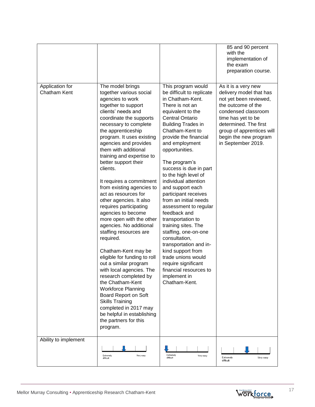|                                 |                                                                                                                                                                                                                                                                                                                                                                                                                                                                                                                                                                                                                                                                                                                                                                                                                                                                                                                                     |                                                                                                                                                                                                                                                                                                                                                                                                                                                                                                                                                                                                                                                                                                         | 85 and 90 percent<br>with the<br>implementation of<br>the exam<br>preparation course.                                                                                                                                                            |
|---------------------------------|-------------------------------------------------------------------------------------------------------------------------------------------------------------------------------------------------------------------------------------------------------------------------------------------------------------------------------------------------------------------------------------------------------------------------------------------------------------------------------------------------------------------------------------------------------------------------------------------------------------------------------------------------------------------------------------------------------------------------------------------------------------------------------------------------------------------------------------------------------------------------------------------------------------------------------------|---------------------------------------------------------------------------------------------------------------------------------------------------------------------------------------------------------------------------------------------------------------------------------------------------------------------------------------------------------------------------------------------------------------------------------------------------------------------------------------------------------------------------------------------------------------------------------------------------------------------------------------------------------------------------------------------------------|--------------------------------------------------------------------------------------------------------------------------------------------------------------------------------------------------------------------------------------------------|
| Application for<br>Chatham Kent | The model brings<br>together various social<br>agencies to work<br>together to support<br>clients' needs and<br>coordinate the supports<br>necessary to complete<br>the apprenticeship<br>program. It uses existing<br>agencies and provides<br>them with additional<br>training and expertise to<br>better support their<br>clients.<br>It requires a commitment<br>from existing agencies to<br>act as resources for<br>other agencies. It also<br>requires participating<br>agencies to become<br>more open with the other<br>agencies. No additional<br>staffing resources are<br>required.<br>Chatham-Kent may be<br>eligible for funding to roll<br>out a similar program<br>with local agencies. The<br>research completed by<br>the Chatham-Kent<br><b>Workforce Planning</b><br>Board Report on Soft<br><b>Skills Training</b><br>completed in 2017 may<br>be helpful in establishing<br>the partners for this<br>program. | This program would<br>be difficult to replicate<br>in Chatham-Kent.<br>There is not an<br>equivalent to the<br><b>Central Ontario</b><br><b>Building Trades in</b><br>Chatham-Kent to<br>provide the financial<br>and employment<br>opportunities.<br>The program's<br>success is due in part<br>to the high level of<br>individual attention<br>and support each<br>participant receives<br>from an initial needs<br>assessment to regular<br>feedback and<br>transportation to<br>training sites. The<br>staffing, one-on-one<br>consultation,<br>transportation and in-<br>kind support from<br>trade unions would<br>require significant<br>financial resources to<br>implement in<br>Chatham-Kent. | As it is a very new<br>delivery model that has<br>not yet been reviewed,<br>the outcome of the<br>condensed classroom<br>time has yet to be<br>determined. The first<br>group of apprentices will<br>begin the new program<br>in September 2019. |
| Ability to implement            | Extremely<br>Very easy<br>difficult                                                                                                                                                                                                                                                                                                                                                                                                                                                                                                                                                                                                                                                                                                                                                                                                                                                                                                 | Extremely<br>Very easy<br>difficult                                                                                                                                                                                                                                                                                                                                                                                                                                                                                                                                                                                                                                                                     | Extremely<br>Very easy<br>difficult                                                                                                                                                                                                              |

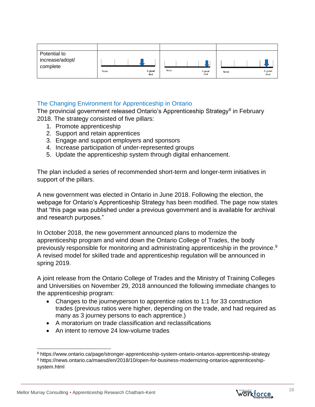| Potential to<br>increase/adopt/<br>complete | None | A great<br>deal | None | A great<br>deal | None | A great<br>deal |
|---------------------------------------------|------|-----------------|------|-----------------|------|-----------------|

#### <span id="page-17-0"></span>The Changing Environment for Apprenticeship in Ontario

The provincial government released Ontario's Apprenticeship Strategy<sup>8</sup> in February 2018. The strategy consisted of five pillars:

- 1. Promote apprenticeship
- 2. Support and retain apprentices
- 3. Engage and support employers and sponsors
- 4. Increase participation of under-represented groups
- 5. Update the apprenticeship system through digital enhancement.

The plan included a series of recommended short-term and longer-term initiatives in support of the pillars.

A new government was elected in Ontario in June 2018. Following the election, the webpage for Ontario's Apprenticeship Strategy has been modified. The page now states that "this page was published under a previous government and is available for archival and research purposes."

In October 2018, the new government announced plans to modernize the apprenticeship program and wind down the Ontario College of Trades, the body previously responsible for monitoring and administrating apprenticeship in the province.<sup>9</sup> A revised model for skilled trade and apprenticeship regulation will be announced in spring 2019.

A joint release from the Ontario College of Trades and the Ministry of Training Colleges and Universities on November 29, 2018 announced the following immediate changes to the apprenticeship program:

- Changes to the journeyperson to apprentice ratios to 1:1 for 33 construction trades (previous ratios were higher, depending on the trade, and had required as many as 3 journey persons to each apprentice.)
- A moratorium on trade classification and reclassifications
- An intent to remove 24 low-volume trades



<sup>8</sup> https://www.ontario.ca/page/stronger-apprenticeship-system-ontario-ontarios-apprenticeship-strategy <sup>9</sup> https://news.ontario.ca/maesd/en/2018/10/open-for-business-modernizing-ontarios-apprenticeshipsystem.html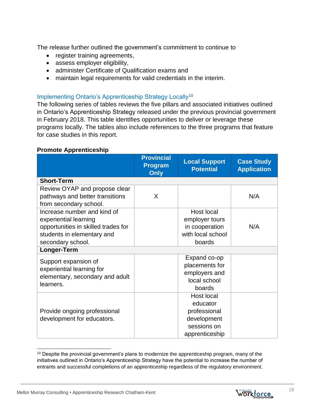The release further outlined the government's commitment to continue to

- register training agreements,
- assess employer eligibility,
- administer Certificate of Qualification exams and
- maintain legal requirements for valid credentials in the interim.

#### <span id="page-18-0"></span>Implementing Ontario's Apprenticeship Strategy Locally<sup>10</sup>

The following series of tables reviews the five pillars and associated initiatives outlined in Ontario's Apprenticeship Strategy released under the previous provincial government in February 2018. This table identifies opportunities to deliver or leverage these programs locally. The tables also include references to the three programs that feature for case studies in this report.

#### **Promote Apprenticeship**

|                                                                                                                                                | <b>Provincial</b><br><b>Program</b><br><b>Only</b> | <b>Local Support</b><br><b>Potential</b>                                               | <b>Case Study</b><br><b>Application</b> |
|------------------------------------------------------------------------------------------------------------------------------------------------|----------------------------------------------------|----------------------------------------------------------------------------------------|-----------------------------------------|
| <b>Short-Term</b>                                                                                                                              |                                                    |                                                                                        |                                         |
| Review OYAP and propose clear<br>pathways and better transitions<br>from secondary school.                                                     | X                                                  |                                                                                        | N/A                                     |
| Increase number and kind of<br>experiential learning<br>opportunities in skilled trades for<br>students in elementary and<br>secondary school. |                                                    | Host local<br>employer tours<br>in cooperation<br>with local school<br>boards          | N/A                                     |
| Longer-Term                                                                                                                                    |                                                    |                                                                                        |                                         |
| Support expansion of<br>experiential learning for<br>elementary, secondary and adult<br>learners.                                              |                                                    | Expand co-op<br>placements for<br>employers and<br>local school<br>boards              |                                         |
| Provide ongoing professional<br>development for educators.                                                                                     |                                                    | Host local<br>educator<br>professional<br>development<br>sessions on<br>apprenticeship |                                         |

<sup>&</sup>lt;sup>10</sup> Despite the provincial government's plans to modernize the apprenticeship program, many of the initiatives outlined in Ontario's Apprenticeship Strategy have the potential to increase the number of entrants and successful completions of an apprenticeship regardless of the regulatory environment.

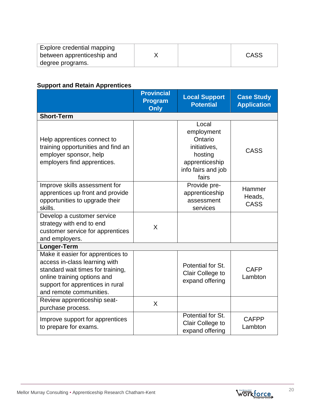| Explore credential mapping<br>between apprenticeship and |  | CASS |
|----------------------------------------------------------|--|------|
| degree programs.                                         |  |      |

#### **Support and Retain Apprentices**

|                                                                                                                                                                                                       | <b>Provincial</b><br><b>Program</b><br>Only | <b>Local Support</b><br><b>Potential</b>                                                                   | <b>Case Study</b><br><b>Application</b> |
|-------------------------------------------------------------------------------------------------------------------------------------------------------------------------------------------------------|---------------------------------------------|------------------------------------------------------------------------------------------------------------|-----------------------------------------|
| <b>Short-Term</b>                                                                                                                                                                                     |                                             |                                                                                                            |                                         |
| Help apprentices connect to<br>training opportunities and find an<br>employer sponsor, help<br>employers find apprentices.                                                                            |                                             | Local<br>employment<br>Ontario<br>initiatives,<br>hosting<br>apprenticeship<br>info fairs and job<br>fairs | CASS                                    |
| Improve skills assessment for<br>apprentices up front and provide<br>opportunities to upgrade their<br>skills.                                                                                        |                                             | Provide pre-<br>apprenticeship<br>assessment<br>services                                                   | Hammer<br>Heads,<br>CASS                |
| Develop a customer service<br>strategy with end to end<br>customer service for apprentices<br>and employers.                                                                                          | X                                           |                                                                                                            |                                         |
| Longer-Term                                                                                                                                                                                           |                                             |                                                                                                            |                                         |
| Make it easier for apprentices to<br>access in-class learning with<br>standard wait times for training,<br>online training options and<br>support for apprentices in rural<br>and remote communities. |                                             | Potential for St.<br>Clair College to<br>expand offering                                                   | <b>CAFP</b><br>Lambton                  |
| Review apprenticeship seat-<br>purchase process.                                                                                                                                                      | X                                           |                                                                                                            |                                         |
| Improve support for apprentices<br>to prepare for exams.                                                                                                                                              |                                             | Potential for St.<br>Clair College to<br>expand offering                                                   | <b>CAFPP</b><br>Lambton                 |

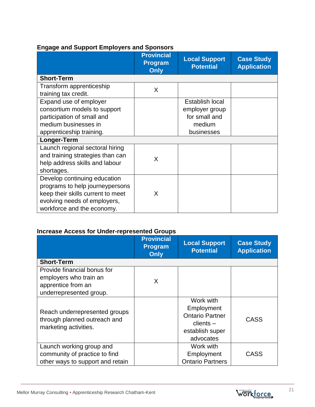|  | <b>Engage and Support Employers and Sponsors</b> |  |
|--|--------------------------------------------------|--|
|  |                                                  |  |

|                                   | <b>Provincial</b><br><b>Program</b><br><b>Only</b> | <b>Local Support</b><br><b>Potential</b> | <b>Case Study</b><br><b>Application</b> |
|-----------------------------------|----------------------------------------------------|------------------------------------------|-----------------------------------------|
| <b>Short-Term</b>                 |                                                    |                                          |                                         |
| Transform apprenticeship          | X                                                  |                                          |                                         |
| training tax credit.              |                                                    |                                          |                                         |
| Expand use of employer            |                                                    | Establish local                          |                                         |
| consortium models to support      |                                                    | employer group                           |                                         |
| participation of small and        |                                                    | for small and                            |                                         |
| medium businesses in              |                                                    | medium                                   |                                         |
| apprenticeship training.          |                                                    | businesses                               |                                         |
| Longer-Term                       |                                                    |                                          |                                         |
| Launch regional sectoral hiring   |                                                    |                                          |                                         |
| and training strategies than can  | X                                                  |                                          |                                         |
| help address skills and labour    |                                                    |                                          |                                         |
| shortages.                        |                                                    |                                          |                                         |
| Develop continuing education      |                                                    |                                          |                                         |
| programs to help journeypersons   |                                                    |                                          |                                         |
| keep their skills current to meet | X                                                  |                                          |                                         |
| evolving needs of employers,      |                                                    |                                          |                                         |
| workforce and the economy.        |                                                    |                                          |                                         |

#### **Increase Access for Under-represented Groups**

|                                                                                                        | <b>Provincial</b><br><b>Program</b><br>Only | <b>Local Support</b><br><b>Potential</b>                                                         | <b>Case Study</b><br><b>Application</b> |
|--------------------------------------------------------------------------------------------------------|---------------------------------------------|--------------------------------------------------------------------------------------------------|-----------------------------------------|
| <b>Short-Term</b>                                                                                      |                                             |                                                                                                  |                                         |
| Provide financial bonus for<br>employers who train an<br>apprentice from an<br>underrepresented group. | X                                           |                                                                                                  |                                         |
| Reach underrepresented groups<br>through planned outreach and<br>marketing activities.                 |                                             | Work with<br>Employment<br><b>Ontario Partner</b><br>$clients -$<br>establish super<br>advocates | CASS                                    |
| Launch working group and<br>community of practice to find<br>other ways to support and retain          |                                             | Work with<br>Employment<br><b>Ontario Partners</b>                                               | <b>CASS</b>                             |

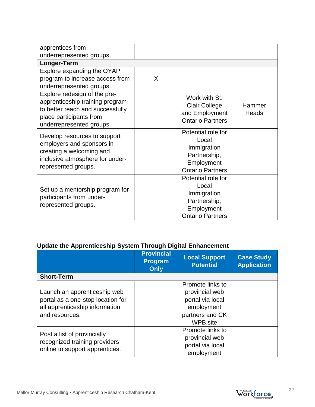| apprentices from                                                                                                                                           |   |                                                                                                     |                 |
|------------------------------------------------------------------------------------------------------------------------------------------------------------|---|-----------------------------------------------------------------------------------------------------|-----------------|
| underrepresented groups.                                                                                                                                   |   |                                                                                                     |                 |
| Longer-Term                                                                                                                                                |   |                                                                                                     |                 |
| Explore expanding the OYAP<br>program to increase access from                                                                                              | X |                                                                                                     |                 |
| underrepresented groups.                                                                                                                                   |   |                                                                                                     |                 |
| Explore redesign of the pre-<br>apprenticeship training program<br>to better reach and successfully<br>place participants from<br>underrepresented groups. |   | Work with St.<br><b>Clair College</b><br>and Employment<br><b>Ontario Partners</b>                  | Hammer<br>Heads |
| Develop resources to support<br>employers and sponsors in<br>creating a welcoming and<br>inclusive atmosphere for under-<br>represented groups.            |   | Potential role for<br>Local<br>Immigration<br>Partnership,<br>Employment<br><b>Ontario Partners</b> |                 |
| Set up a mentorship program for<br>participants from under-<br>represented groups.                                                                         |   | Potential role for<br>Local<br>Immigration<br>Partnership,<br>Employment<br><b>Ontario Partners</b> |                 |

### **Update the Apprenticeship System Through Digital Enhancement**

|                                                              | <b>Provincial</b><br><b>Program</b><br><b>Only</b> | <b>Local Support</b><br><b>Potential</b> | <b>Case Study</b><br><b>Application</b> |
|--------------------------------------------------------------|----------------------------------------------------|------------------------------------------|-----------------------------------------|
| <b>Short-Term</b>                                            |                                                    |                                          |                                         |
|                                                              |                                                    | Promote links to                         |                                         |
| Launch an apprenticeship web                                 |                                                    | provincial web                           |                                         |
| portal as a one-stop location for                            |                                                    | portal via local                         |                                         |
| all apprenticeship information                               |                                                    | employment                               |                                         |
| and resources.                                               |                                                    | partners and CK                          |                                         |
|                                                              |                                                    | <b>WPB</b> site                          |                                         |
|                                                              |                                                    | Promote links to                         |                                         |
| Post a list of provincially<br>recognized training providers |                                                    | provincial web                           |                                         |
| online to support apprentices.                               |                                                    | portal via local                         |                                         |
|                                                              |                                                    | employment                               |                                         |

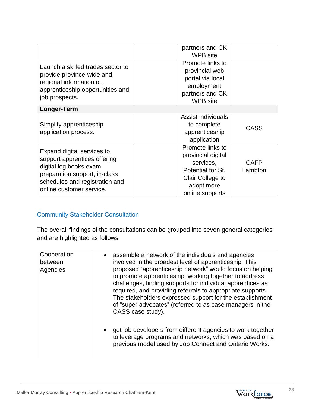|                                                                                                                                                                                     | partners and CK<br><b>WPB</b> site                                                                                            |                        |  |
|-------------------------------------------------------------------------------------------------------------------------------------------------------------------------------------|-------------------------------------------------------------------------------------------------------------------------------|------------------------|--|
| Launch a skilled trades sector to<br>provide province-wide and<br>regional information on<br>apprenticeship opportunities and<br>job prospects.                                     | Promote links to<br>provincial web<br>portal via local<br>employment<br>partners and CK<br><b>WPB</b> site                    |                        |  |
| Longer-Term                                                                                                                                                                         |                                                                                                                               |                        |  |
| Simplify apprenticeship<br>application process.                                                                                                                                     | Assist individuals<br>to complete<br>apprenticeship<br>application                                                            | <b>CASS</b>            |  |
| Expand digital services to<br>support apprentices offering<br>digital log books exam<br>preparation support, in-class<br>schedules and registration and<br>online customer service. | Promote links to<br>provincial digital<br>services,<br>Potential for St.<br>Clair College to<br>adopt more<br>online supports | <b>CAFP</b><br>Lambton |  |

#### <span id="page-22-0"></span>Community Stakeholder Consultation

The overall findings of the consultations can be grouped into seven general categories and are highlighted as follows:

| Cooperation<br>between<br>Agencies | • assemble a network of the individuals and agencies<br>involved in the broadest level of apprenticeship. This<br>proposed "apprenticeship network" would focus on helping<br>to promote apprenticeship, working together to address<br>challenges, finding supports for individual apprentices as<br>required, and providing referrals to appropriate supports.<br>The stakeholders expressed support for the establishment<br>of "super advocates" (referred to as case managers in the |
|------------------------------------|-------------------------------------------------------------------------------------------------------------------------------------------------------------------------------------------------------------------------------------------------------------------------------------------------------------------------------------------------------------------------------------------------------------------------------------------------------------------------------------------|
|                                    | CASS case study).<br>• get job developers from different agencies to work together<br>to leverage programs and networks, which was based on a<br>previous model used by Job Connect and Ontario Works.                                                                                                                                                                                                                                                                                    |

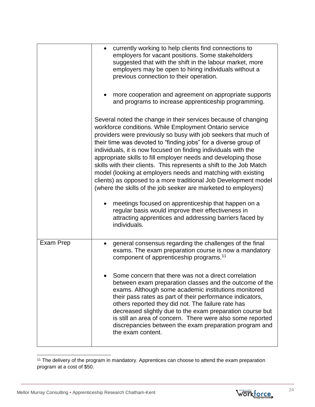|                  | currently working to help clients find connections to<br>employers for vacant positions. Some stakeholders<br>suggested that with the shift in the labour market, more<br>employers may be open to hiring individuals without a<br>previous connection to their operation.                                                                                                                                                                                                                                                                                                                                                                                                     |
|------------------|--------------------------------------------------------------------------------------------------------------------------------------------------------------------------------------------------------------------------------------------------------------------------------------------------------------------------------------------------------------------------------------------------------------------------------------------------------------------------------------------------------------------------------------------------------------------------------------------------------------------------------------------------------------------------------|
|                  | more cooperation and agreement on appropriate supports<br>and programs to increase apprenticeship programming.                                                                                                                                                                                                                                                                                                                                                                                                                                                                                                                                                                 |
|                  | Several noted the change in their services because of changing<br>workforce conditions. While Employment Ontario service<br>providers were previously so busy with job seekers that much of<br>their time was devoted to "finding jobs" for a diverse group of<br>individuals, it is now focused on finding individuals with the<br>appropriate skills to fill employer needs and developing those<br>skills with their clients. This represents a shift to the Job Match<br>model (looking at employers needs and matching with existing<br>clients) as opposed to a more traditional Job Development model<br>(where the skills of the job seeker are marketed to employers) |
|                  | meetings focused on apprenticeship that happen on a<br>regular basis would improve their effectiveness in<br>attracting apprentices and addressing barriers faced by<br>individuals.                                                                                                                                                                                                                                                                                                                                                                                                                                                                                           |
| <b>Exam Prep</b> | general consensus regarding the challenges of the final<br>exams. The exam preparation course is now a mandatory<br>component of apprenticeship programs. <sup>11</sup>                                                                                                                                                                                                                                                                                                                                                                                                                                                                                                        |
|                  | Some concern that there was not a direct correlation<br>between exam preparation classes and the outcome of the<br>exams. Although some academic institutions monitored<br>their pass rates as part of their performance indicators,<br>others reported they did not. The failure rate has<br>decreased slightly due to the exam preparation course but<br>is still an area of concern. There were also some reported<br>discrepancies between the exam preparation program and<br>the exam content.                                                                                                                                                                           |

<sup>11</sup> The delivery of the program in mandatory. Apprentices can choose to attend the exam preparation program at a cost of \$50.

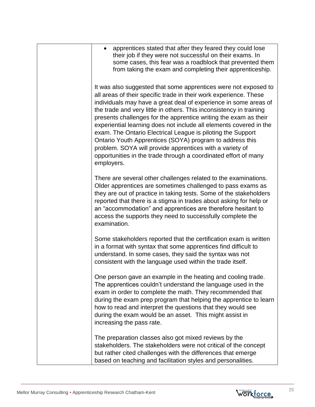| apprentices stated that after they feared they could lose<br>$\bullet$<br>their job if they were not successful on their exams. In<br>some cases, this fear was a roadblock that prevented them<br>from taking the exam and completing their apprenticeship.                                                                                                                                                                                                                                                                                                                                                                                                                                      |
|---------------------------------------------------------------------------------------------------------------------------------------------------------------------------------------------------------------------------------------------------------------------------------------------------------------------------------------------------------------------------------------------------------------------------------------------------------------------------------------------------------------------------------------------------------------------------------------------------------------------------------------------------------------------------------------------------|
| It was also suggested that some apprentices were not exposed to<br>all areas of their specific trade in their work experience. These<br>individuals may have a great deal of experience in some areas of<br>the trade and very little in others. This inconsistency in training<br>presents challenges for the apprentice writing the exam as their<br>experiential learning does not include all elements covered in the<br>exam. The Ontario Electrical League is piloting the Support<br>Ontario Youth Apprentices (SOYA) program to address this<br>problem. SOYA will provide apprentices with a variety of<br>opportunities in the trade through a coordinated effort of many<br>employers. |
| There are several other challenges related to the examinations.<br>Older apprentices are sometimes challenged to pass exams as<br>they are out of practice in taking tests. Some of the stakeholders<br>reported that there is a stigma in trades about asking for help or<br>an "accommodation" and apprentices are therefore hesitant to<br>access the supports they need to successfully complete the<br>examination.                                                                                                                                                                                                                                                                          |
| Some stakeholders reported that the certification exam is written<br>in a format with syntax that some apprentices find difficult to<br>understand. In some cases, they said the syntax was not<br>consistent with the language used within the trade itself.                                                                                                                                                                                                                                                                                                                                                                                                                                     |
| One person gave an example in the heating and cooling trade.<br>The apprentices couldn't understand the language used in the<br>exam in order to complete the math. They recommended that<br>during the exam prep program that helping the apprentice to learn<br>how to read and interpret the questions that they would see<br>during the exam would be an asset. This might assist in<br>increasing the pass rate.                                                                                                                                                                                                                                                                             |
| The preparation classes also got mixed reviews by the<br>stakeholders. The stakeholders were not critical of the concept<br>but rather cited challenges with the differences that emerge<br>based on teaching and facilitation styles and personalities.                                                                                                                                                                                                                                                                                                                                                                                                                                          |

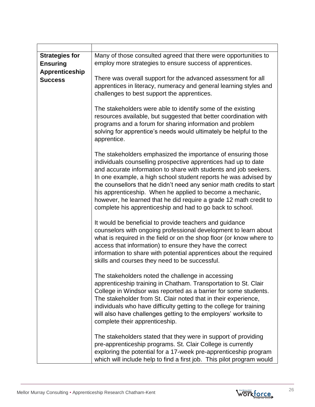| <b>Strategies for</b><br><b>Ensuring</b> | Many of those consulted agreed that there were opportunities to<br>employ more strategies to ensure success of apprentices.                                                                                                                                                                                                                                                                                                                                                                                                                  |
|------------------------------------------|----------------------------------------------------------------------------------------------------------------------------------------------------------------------------------------------------------------------------------------------------------------------------------------------------------------------------------------------------------------------------------------------------------------------------------------------------------------------------------------------------------------------------------------------|
| Apprenticeship<br><b>Success</b>         | There was overall support for the advanced assessment for all<br>apprentices in literacy, numeracy and general learning styles and<br>challenges to best support the apprentices.                                                                                                                                                                                                                                                                                                                                                            |
|                                          | The stakeholders were able to identify some of the existing<br>resources available, but suggested that better coordination with<br>programs and a forum for sharing information and problem<br>solving for apprentice's needs would ultimately be helpful to the<br>apprentice.                                                                                                                                                                                                                                                              |
|                                          | The stakeholders emphasized the importance of ensuring those<br>individuals counselling prospective apprentices had up to date<br>and accurate information to share with students and job seekers.<br>In one example, a high school student reports he was advised by<br>the counsellors that he didn't need any senior math credits to start<br>his apprenticeship. When he applied to become a mechanic,<br>however, he learned that he did require a grade 12 math credit to<br>complete his apprenticeship and had to go back to school. |
|                                          | It would be beneficial to provide teachers and guidance<br>counselors with ongoing professional development to learn about<br>what is required in the field or on the shop floor (or know where to<br>access that information) to ensure they have the correct<br>information to share with potential apprentices about the required<br>skills and courses they need to be successful.                                                                                                                                                       |
|                                          | The stakeholders noted the challenge in accessing<br>apprenticeship training in Chatham. Transportation to St. Clair<br>College in Windsor was reported as a barrier for some students.<br>The stakeholder from St. Clair noted that in their experience,<br>individuals who have difficulty getting to the college for training<br>will also have challenges getting to the employers' worksite to<br>complete their apprenticeship.                                                                                                        |
|                                          | The stakeholders stated that they were in support of providing<br>pre-apprenticeship programs. St. Clair College is currently<br>exploring the potential for a 17-week pre-apprenticeship program<br>which will include help to find a first job. This pilot program would                                                                                                                                                                                                                                                                   |

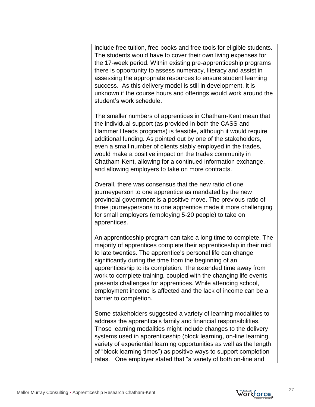|  | include free tuition, free books and free tools for eligible students.<br>The students would have to cover their own living expenses for<br>the 17-week period. Within existing pre-apprenticeship programs<br>there is opportunity to assess numeracy, literacy and assist in<br>assessing the appropriate resources to ensure student learning<br>success. As this delivery model is still in development, it is<br>unknown if the course hours and offerings would work around the<br>student's work schedule.                                              |
|--|----------------------------------------------------------------------------------------------------------------------------------------------------------------------------------------------------------------------------------------------------------------------------------------------------------------------------------------------------------------------------------------------------------------------------------------------------------------------------------------------------------------------------------------------------------------|
|  | The smaller numbers of apprentices in Chatham-Kent mean that<br>the individual support (as provided in both the CASS and<br>Hammer Heads programs) is feasible, although it would require<br>additional funding. As pointed out by one of the stakeholders,<br>even a small number of clients stably employed in the trades,<br>would make a positive impact on the trades community in<br>Chatham-Kent, allowing for a continued information exchange,<br>and allowing employers to take on more contracts.                                                   |
|  | Overall, there was consensus that the new ratio of one<br>journeyperson to one apprentice as mandated by the new<br>provincial government is a positive move. The previous ratio of<br>three journeypersons to one apprentice made it more challenging<br>for small employers (employing 5-20 people) to take on<br>apprentices.                                                                                                                                                                                                                               |
|  | An apprenticeship program can take a long time to complete. The<br>majority of apprentices complete their apprenticeship in their mid<br>to late twenties. The apprentice's personal life can change<br>significantly during the time from the beginning of an<br>apprenticeship to its completion. The extended time away from<br>work to complete training, coupled with the changing life events<br>presents challenges for apprentices. While attending school,<br>employment income is affected and the lack of income can be a<br>barrier to completion. |
|  | Some stakeholders suggested a variety of learning modalities to<br>address the apprentice's family and financial responsibilities.<br>Those learning modalities might include changes to the delivery<br>systems used in apprenticeship (block learning, on-line learning,<br>variety of experiential learning opportunities as well as the length<br>of "block learning times") as positive ways to support completion<br>rates. One employer stated that "a variety of both on-line and                                                                      |

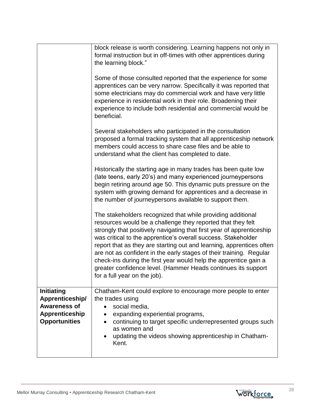|                                                                                                       | block release is worth considering. Learning happens not only in<br>formal instruction but in off-times with other apprentices during<br>the learning block."<br>Some of those consulted reported that the experience for some<br>apprentices can be very narrow. Specifically it was reported that<br>some electricians may do commercial work and have very little<br>experience in residential work in their role. Broadening their<br>experience to include both residential and commercial would be                                                                                 |  |
|-------------------------------------------------------------------------------------------------------|------------------------------------------------------------------------------------------------------------------------------------------------------------------------------------------------------------------------------------------------------------------------------------------------------------------------------------------------------------------------------------------------------------------------------------------------------------------------------------------------------------------------------------------------------------------------------------------|--|
|                                                                                                       | beneficial.<br>Several stakeholders who participated in the consultation<br>proposed a formal tracking system that all apprenticeship network<br>members could access to share case files and be able to<br>understand what the client has completed to date.                                                                                                                                                                                                                                                                                                                            |  |
|                                                                                                       | Historically the starting age in many trades has been quite low<br>(late teens, early 20's) and many experienced journeypersons<br>begin retiring around age 50. This dynamic puts pressure on the<br>system with growing demand for apprentices and a decrease in<br>the number of journeypersons available to support them.                                                                                                                                                                                                                                                            |  |
|                                                                                                       | The stakeholders recognized that while providing additional<br>resources would be a challenge they reported that they felt<br>strongly that positively navigating that first year of apprenticeship<br>was critical to the apprentice's overall success. Stakeholder<br>report that as they are starting out and learning, apprentices often<br>are not as confident in the early stages of their training. Regular<br>check-ins during the first year would help the apprentice gain a<br>greater confidence level. (Hammer Heads continues its support<br>for a full year on the job). |  |
| <b>Initiating</b><br>Apprenticeship/<br><b>Awareness of</b><br>Apprenticeship<br><b>Opportunities</b> | Chatham-Kent could explore to encourage more people to enter<br>the trades using<br>social media,<br>expanding experiential programs,<br>continuing to target specific underrepresented groups such<br>$\bullet$<br>as women and<br>updating the videos showing apprenticeship in Chatham-<br>Kent.                                                                                                                                                                                                                                                                                      |  |

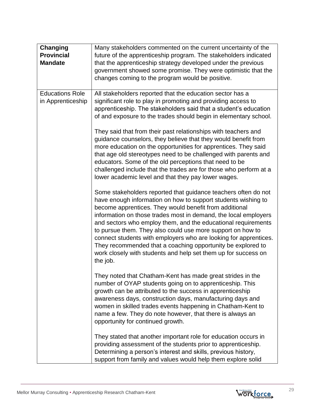| Changing<br><b>Provincial</b><br><b>Mandate</b> | Many stakeholders commented on the current uncertainty of the<br>future of the apprenticeship program. The stakeholders indicated<br>that the apprenticeship strategy developed under the previous<br>government showed some promise. They were optimistic that the<br>changes coming to the program would be positive.                                                                                                                                                                                                                                                                                                                                                                                                           |
|-------------------------------------------------|-----------------------------------------------------------------------------------------------------------------------------------------------------------------------------------------------------------------------------------------------------------------------------------------------------------------------------------------------------------------------------------------------------------------------------------------------------------------------------------------------------------------------------------------------------------------------------------------------------------------------------------------------------------------------------------------------------------------------------------|
| <b>Educations Role</b><br>in Apprenticeship     | All stakeholders reported that the education sector has a<br>significant role to play in promoting and providing access to<br>apprenticeship. The stakeholders said that a student's education<br>of and exposure to the trades should begin in elementary school.<br>They said that from their past relationships with teachers and<br>guidance counselors, they believe that they would benefit from<br>more education on the opportunities for apprentices. They said<br>that age old stereotypes need to be challenged with parents and<br>educators. Some of the old perceptions that need to be<br>challenged include that the trades are for those who perform at a<br>lower academic level and that they pay lower wages. |
|                                                 | Some stakeholders reported that guidance teachers often do not<br>have enough information on how to support students wishing to<br>become apprentices. They would benefit from additional<br>information on those trades most in demand, the local employers<br>and sectors who employ them, and the educational requirements<br>to pursue them. They also could use more support on how to<br>connect students with employers who are looking for apprentices.<br>They recommended that a coaching opportunity be explored to<br>work closely with students and help set them up for success on<br>the job.                                                                                                                      |
|                                                 | They noted that Chatham-Kent has made great strides in the<br>number of OYAP students going on to apprenticeship. This<br>growth can be attributed to the success in apprenticeship<br>awareness days, construction days, manufacturing days and<br>women in skilled trades events happening in Chatham-Kent to<br>name a few. They do note however, that there is always an<br>opportunity for continued growth.                                                                                                                                                                                                                                                                                                                 |
|                                                 | They stated that another important role for education occurs in<br>providing assessment of the students prior to apprenticeship.<br>Determining a person's interest and skills, previous history,<br>support from family and values would help them explore solid                                                                                                                                                                                                                                                                                                                                                                                                                                                                 |

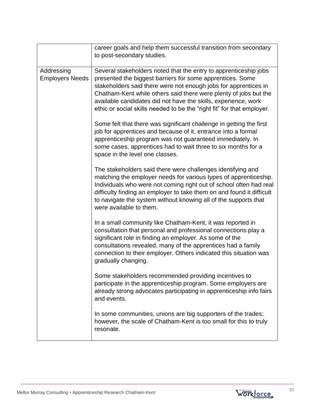|                                      | career goals and help them successful transition from secondary<br>to post-secondary studies.                                                                                                                                                                                                                                                                                                                                                                                                                                                                                                                                                                                                                             |
|--------------------------------------|---------------------------------------------------------------------------------------------------------------------------------------------------------------------------------------------------------------------------------------------------------------------------------------------------------------------------------------------------------------------------------------------------------------------------------------------------------------------------------------------------------------------------------------------------------------------------------------------------------------------------------------------------------------------------------------------------------------------------|
| Addressing<br><b>Employers Needs</b> | Several stakeholders noted that the entry to apprenticeship jobs<br>presented the biggest barriers for some apprentices. Some<br>stakeholders said there were not enough jobs for apprentices in<br>Chatham-Kent while others said there were plenty of jobs but the<br>available candidates did not have the skills, experience, work<br>ethic or social skills needed to be the "right fit" for that employer.<br>Some felt that there was significant challenge in getting the first<br>job for apprentices and because of it, entrance into a formal<br>apprenticeship program was not guaranteed immediately. In<br>some cases, apprentices had to wait three to six months for a<br>space in the level one classes. |
|                                      | The stakeholders said there were challenges identifying and<br>matching the employer needs for various types of apprenticeship.<br>Individuals who were not coming right out of school often had real<br>difficulty finding an employer to take them on and found it difficult<br>to navigate the system without knowing all of the supports that<br>were available to them.                                                                                                                                                                                                                                                                                                                                              |
|                                      | In a small community like Chatham-Kent, it was reported in<br>consultation that personal and professional connections play a<br>significant role in finding an employer. As some of the<br>consultations revealed, many of the apprentices had a family<br>connection to their employer. Others indicated this situation was<br>gradually changing.                                                                                                                                                                                                                                                                                                                                                                       |
|                                      | Some stakeholders recommended providing incentives to<br>participate in the apprenticeship program. Some employers are<br>already strong advocates participating in apprenticeship info fairs<br>and events.                                                                                                                                                                                                                                                                                                                                                                                                                                                                                                              |
|                                      | In some communities, unions are big supporters of the trades;<br>however, the scale of Chatham-Kent is too small for this to truly<br>resonate.                                                                                                                                                                                                                                                                                                                                                                                                                                                                                                                                                                           |

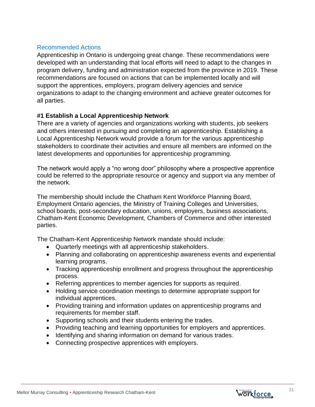#### <span id="page-30-0"></span>Recommended Actions

Apprenticeship in Ontario is undergoing great change. These recommendations were developed with an understanding that local efforts will need to adapt to the changes in program delivery, funding and administration expected from the province in 2019. These recommendations are focused on actions that can be implemented locally and will support the apprentices, employers, program delivery agencies and service organizations to adapt to the changing environment and achieve greater outcomes for all parties.

#### **#1 Establish a Local Apprenticeship Network**

There are a variety of agencies and organizations working with students, job seekers and others interested in pursuing and completing an apprenticeship. Establishing a Local Apprenticeship Network would provide a forum for the various apprenticeship stakeholders to coordinate their activities and ensure all members are informed on the latest developments and opportunities for apprenticeship programming.

The network would apply a "no wrong door" philosophy where a prospective apprentice could be referred to the appropriate resource or agency and support via any member of the network.

The membership should include the Chatham Kent Workforce Planning Board, Employment Ontario agencies, the Ministry of Training Colleges and Universities, school boards, post-secondary education, unions, employers, business associations, Chatham-Kent Economic Development, Chambers of Commerce and other interested parties.

The Chatham-Kent Apprenticeship Network mandate should include:

- Quarterly meetings with all apprenticeship stakeholders.
- Planning and collaborating on apprenticeship awareness events and experiential learning programs.
- Tracking apprenticeship enrollment and progress throughout the apprenticeship process.
- Referring apprentices to member agencies for supports as required.
- Holding service coordination meetings to determine appropriate support for individual apprentices.
- Providing training and information updates on apprenticeship programs and requirements for member staff.
- Supporting schools and their students entering the trades.
- Providing teaching and learning opportunities for employers and apprentices.
- Identifying and sharing information on demand for various trades.
- Connecting prospective apprentices with employers.

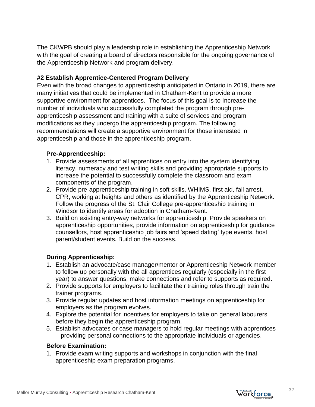The CKWPB should play a leadership role in establishing the Apprenticeship Network with the goal of creating a board of directors responsible for the ongoing governance of the Apprenticeship Network and program delivery.

#### **#2 Establish Apprentice-Centered Program Delivery**

Even with the broad changes to apprenticeship anticipated in Ontario in 2019, there are many initiatives that could be implemented in Chatham-Kent to provide a more supportive environment for apprentices. The focus of this goal is to Increase the number of individuals who successfully completed the program through preapprenticeship assessment and training with a suite of services and program modifications as they undergo the apprenticeship program. The following recommendations will create a supportive environment for those interested in apprenticeship and those in the apprenticeship program.

#### **Pre-Apprenticeship:**

- 1. Provide assessments of all apprentices on entry into the system identifying literacy, numeracy and test writing skills and providing appropriate supports to increase the potential to successfully complete the classroom and exam components of the program.
- 2. Provide pre-apprenticeship training in soft skills, WHIMS, first aid, fall arrest, CPR, working at heights and others as identified by the Apprenticeship Network. Follow the progress of the St. Clair College pre-apprenticeship training in Windsor to identify areas for adoption in Chatham-Kent.
- 3. Build on existing entry-way networks for apprenticeship. Provide speakers on apprenticeship opportunities, provide information on apprenticeship for guidance counsellors, host apprenticeship job fairs and 'speed dating' type events, host parent/student events. Build on the success.

#### **During Apprenticeship:**

- 1. Establish an advocate/case manager/mentor or Apprenticeship Network member to follow up personally with the all apprentices regularly (especially in the first year) to answer questions, make connections and refer to supports as required.
- 2. Provide supports for employers to facilitate their training roles through train the trainer programs.
- 3. Provide regular updates and host information meetings on apprenticeship for employers as the program evolves.
- 4. Explore the potential for incentives for employers to take on general labourers before they begin the apprenticeship program.
- 5. Establish advocates or case managers to hold regular meetings with apprentices – providing personal connections to the appropriate individuals or agencies.

#### **Before Examination:**

1. Provide exam writing supports and workshops in conjunction with the final apprenticeship exam preparation programs.

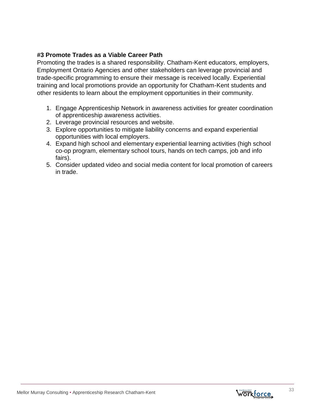#### **#3 Promote Trades as a Viable Career Path**

Promoting the trades is a shared responsibility. Chatham-Kent educators, employers, Employment Ontario Agencies and other stakeholders can leverage provincial and trade-specific programming to ensure their message is received locally. Experiential training and local promotions provide an opportunity for Chatham-Kent students and other residents to learn about the employment opportunities in their community.

- 1. Engage Apprenticeship Network in awareness activities for greater coordination of apprenticeship awareness activities.
- 2. Leverage provincial resources and website.
- 3. Explore opportunities to mitigate liability concerns and expand experiential opportunities with local employers.
- 4. Expand high school and elementary experiential learning activities (high school co-op program, elementary school tours, hands on tech camps, job and info fairs).
- 5. Consider updated video and social media content for local promotion of careers in trade.

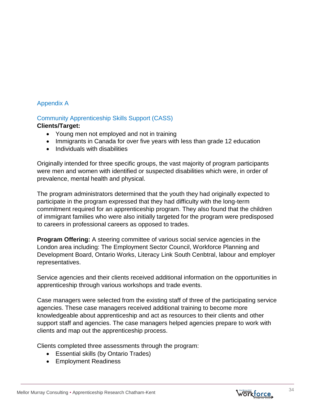#### <span id="page-33-0"></span>Appendix A

<span id="page-33-1"></span>Community Apprenticeship Skills Support (CASS)

#### **Clients/Target:**

- Young men not employed and not in training
- Immigrants in Canada for over five years with less than grade 12 education
- Individuals with disabilities

Originally intended for three specific groups, the vast majority of program participants were men and women with identified or suspected disabilities which were, in order of prevalence, mental health and physical.

The program administrators determined that the youth they had originally expected to participate in the program expressed that they had difficulty with the long-term commitment required for an apprenticeship program. They also found that the children of immigrant families who were also initially targeted for the program were predisposed to careers in professional careers as opposed to trades.

**Program Offering:** A steering committee of various social service agencies in the London area including: The Employment Sector Council, Workforce Planning and Development Board, Ontario Works, Literacy Link South Cenbtral, labour and employer representatives.

Service agencies and their clients received additional information on the opportunities in apprenticeship through various workshops and trade events.

Case managers were selected from the existing staff of three of the participating service agencies. These case managers received additional training to become more knowledgeable about apprenticeship and act as resources to their clients and other support staff and agencies. The case managers helped agencies prepare to work with clients and map out the apprenticeship process.

Clients completed three assessments through the program:

- Essential skills (by Ontario Trades)
- Employment Readiness



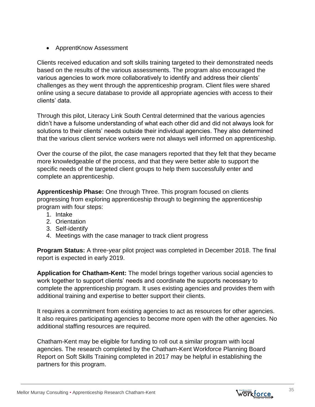• ApprentKnow Assessment

Clients received education and soft skills training targeted to their demonstrated needs based on the results of the various assessments. The program also encouraged the various agencies to work more collaboratively to identify and address their clients' challenges as they went through the apprenticeship program. Client files were shared online using a secure database to provide all appropriate agencies with access to their clients' data.

Through this pilot, Literacy Link South Central determined that the various agencies didn't have a fulsome understanding of what each other did and did not always look for solutions to their clients' needs outside their individual agencies. They also determined that the various client service workers were not always well informed on apprenticeship.

Over the course of the pilot, the case managers reported that they felt that they became more knowledgeable of the process, and that they were better able to support the specific needs of the targeted client groups to help them successfully enter and complete an apprenticeship.

**Apprenticeship Phase:** One through Three. This program focused on clients progressing from exploring apprenticeship through to beginning the apprenticeship program with four steps:

- 1. Intake
- 2. Orientation
- 3. Self-identify
- 4. Meetings with the case manager to track client progress

**Program Status:** A three-year pilot project was completed in December 2018. The final report is expected in early 2019.

**Application for Chatham-Kent:** The model brings together various social agencies to work together to support clients' needs and coordinate the supports necessary to complete the apprenticeship program. It uses existing agencies and provides them with additional training and expertise to better support their clients.

It requires a commitment from existing agencies to act as resources for other agencies. It also requires participating agencies to become more open with the other agencies. No additional staffing resources are required.

Chatham-Kent may be eligible for funding to roll out a similar program with local agencies. The research completed by the Chatham-Kent Workforce Planning Board Report on Soft Skills Training completed in 2017 may be helpful in establishing the partners for this program.

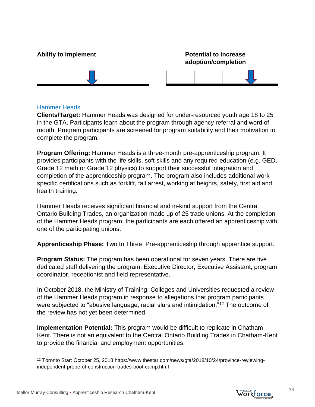

#### <span id="page-35-0"></span>Hammer Heads

**Clients/Target:** Hammer Heads was designed for under-resourced youth age 18 to 25 in the GTA. Participants learn about the program through agency referral and word of mouth. Program participants are screened for program suitability and their motivation to complete the program.

**Program Offering:** Hammer Heads is a three-month pre-apprenticeship program. It provides participants with the life skills, soft skills and any required education (e.g. GED, Grade 12 math or Grade 12 physics) to support their successful integration and completion of the apprenticeship program. The program also includes additional work specific certifications such as forklift, fall arrest, working at heights, safety, first aid and health training.

Hammer Heads receives significant financial and in-kind support from the Central Ontario Building Trades, an organization made up of 25 trade unions. At the completion of the Hammer Heads program, the participants are each offered an apprenticeship with one of the participating unions.

**Apprenticeship Phase:** Two to Three. Pre-apprenticeship through apprentice support.

**Program Status:** The program has been operational for seven years. There are five dedicated staff delivering the program: Executive Director, Executive Assistant, program coordinator, receptionist and field representative.

In October 2018, the Ministry of Training, Colleges and Universities requested a review of the Hammer Heads program in response to allegations that program participants were subjected to "abusive language, racial slurs and intimidation."<sup>12</sup> The outcome of the review has not yet been determined.

**Implementation Potential:** This program would be difficult to replicate in Chatham-Kent. There is not an equivalent to the Central Ontario Building Trades in Chatham-Kent to provide the financial and employment opportunities.



<sup>12</sup> Toronto Star: October 25, 2018 https://www.thestar.com/news/gta/2018/10/24/province-reviewingindependent-probe-of-construction-trades-boot-camp.html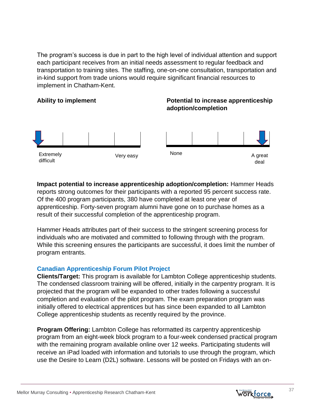The program's success is due in part to the high level of individual attention and support each participant receives from an initial needs assessment to regular feedback and transportation to training sites. The staffing, one-on-one consultation, transportation and in-kind support from trade unions would require significant financial resources to implement in Chatham-Kent.

#### **Ability to implement Potential to increase apprenticeship adoption/completion**



**Impact potential to increase apprenticeship adoption/completion:** Hammer Heads reports strong outcomes for their participants with a reported 95 percent success rate. Of the 400 program participants, 380 have completed at least one year of apprenticeship. Forty-seven program alumni have gone on to purchase homes as a result of their successful completion of the apprenticeship program.

Hammer Heads attributes part of their success to the stringent screening process for individuals who are motivated and committed to following through with the program. While this screening ensures the participants are successful, it does limit the number of program entrants.

#### <span id="page-36-0"></span>**Canadian Apprenticeship Forum Pilot Project**

**Clients/Target:** This program is available for Lambton College apprenticeship students. The condensed classroom training will be offered, initially in the carpentry program. It is projected that the program will be expanded to other trades following a successful completion and evaluation of the pilot program. The exam preparation program was initially offered to electrical apprentices but has since been expanded to all Lambton College apprenticeship students as recently required by the province.

**Program Offering:** Lambton College has reformatted its carpentry apprenticeship program from an eight-week block program to a four-week condensed practical program with the remaining program available online over 12 weeks. Participating students will receive an iPad loaded with information and tutorials to use through the program, which use the Desire to Learn (D2L) software. Lessons will be posted on Fridays with an on-

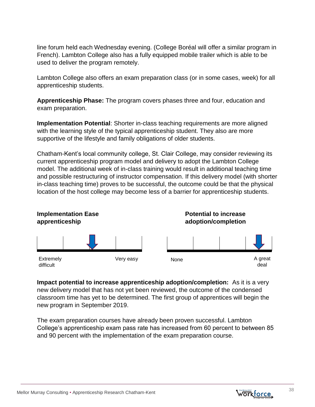line forum held each Wednesday evening. (College Boréal will offer a similar program in French). Lambton College also has a fully equipped mobile trailer which is able to be used to deliver the program remotely.

Lambton College also offers an exam preparation class (or in some cases, week) for all apprenticeship students.

**Apprenticeship Phase:** The program covers phases three and four, education and exam preparation.

**Implementation Potential**: Shorter in-class teaching requirements are more aligned with the learning style of the typical apprenticeship student. They also are more supportive of the lifestyle and family obligations of older students.

Chatham-Kent's local community college, St. Clair College, may consider reviewing its current apprenticeship program model and delivery to adopt the Lambton College model. The additional week of in-class training would result in additional teaching time and possible restructuring of instructor compensation. If this delivery model (with shorter in-class teaching time) proves to be successful, the outcome could be that the physical location of the host college may become less of a barrier for apprenticeship students.



**Impact potential to increase apprenticeship adoption/completion:** As it is a very new delivery model that has not yet been reviewed, the outcome of the condensed classroom time has yet to be determined. The first group of apprentices will begin the new program in September 2019.

The exam preparation courses have already been proven successful. Lambton College's apprenticeship exam pass rate has increased from 60 percent to between 85 and 90 percent with the implementation of the exam preparation course.

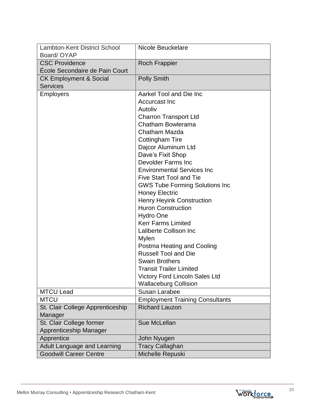| <b>Lambton-Kent District School</b><br>Board/OYAP | Nicole Beuckelare                      |
|---------------------------------------------------|----------------------------------------|
| <b>CSC Providence</b>                             | <b>Roch Frappier</b>                   |
| École Secondaire de Pain Court                    |                                        |
| <b>CK Employment &amp; Social</b>                 | <b>Polly Smith</b>                     |
| <b>Services</b>                                   |                                        |
| <b>Employers</b>                                  | Aarkel Tool and Die Inc                |
|                                                   | Accurcast Inc                          |
|                                                   | Autoliv                                |
|                                                   | <b>Charron Transport Ltd</b>           |
|                                                   | Chatham Bowlerama                      |
|                                                   | Chatham Mazda                          |
|                                                   | <b>Cottingham Tire</b>                 |
|                                                   | Dajcor Aluminum Ltd                    |
|                                                   | Dave's Fixit Shop                      |
|                                                   | Devolder Farms Inc                     |
|                                                   | <b>Environmental Services Inc.</b>     |
|                                                   | <b>Five Start Tool and Tie</b>         |
|                                                   | <b>GWS Tube Forming Solutions Inc</b>  |
|                                                   | <b>Honey Electric</b>                  |
|                                                   | <b>Henry Heyink Construction</b>       |
|                                                   | <b>Huron Construction</b>              |
|                                                   | Hydro One                              |
|                                                   | <b>Kerr Farms Limited</b>              |
|                                                   | Laliberte Collison Inc                 |
|                                                   | <b>Mylen</b>                           |
|                                                   | Postma Heating and Cooling             |
|                                                   | <b>Russell Tool and Die</b>            |
|                                                   | <b>Swain Brothers</b>                  |
|                                                   | <b>Transit Trailer Limited</b>         |
|                                                   | Victory Ford Lincoln Sales Ltd         |
|                                                   | <b>Wallaceburg Collision</b>           |
| <b>MTCU Lead</b>                                  | <b>Susan Larabee</b>                   |
| <b>MTCU</b>                                       | <b>Employment Training Consultants</b> |
| St. Clair College Apprenticeship                  | <b>Richard Lauzon</b>                  |
| Manager                                           |                                        |
| St. Clair College former                          | Sue McLellan                           |
| Apprenticeship Manager                            |                                        |
| Apprentice                                        | John Nyugen                            |
| <b>Adult Language and Learning</b>                | <b>Tracy Callaghan</b>                 |
| <b>Goodwill Career Centre</b>                     | Michelle Repuski                       |

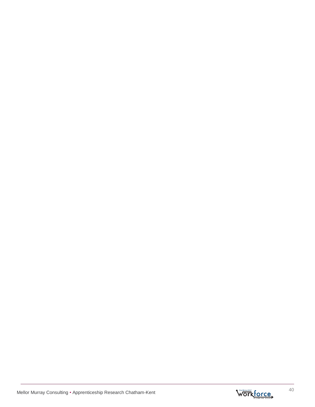